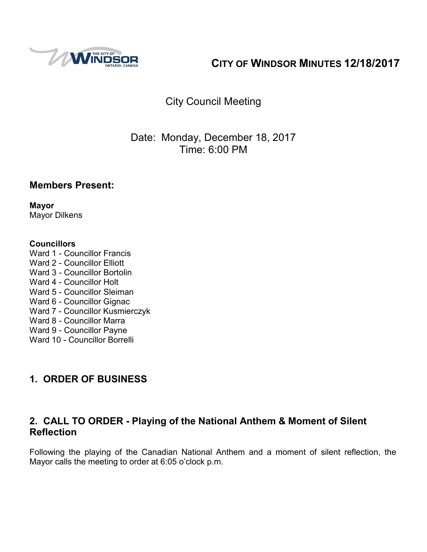

# **CITY OF WINDSOR MINUTES 12/18/2017**

# City Council Meeting

## Date: Monday, December 18, 2017 Time: 6:00 PM

#### **Members Present:**

**Mayor** Mayor Dilkens

#### **Councillors**

Ward 1 - Councillor Francis Ward 2 - Councillor Elliott Ward 3 - Councillor Bortolin Ward 4 - Councillor Holt Ward 5 - Councillor Sleiman Ward 6 - Councillor Gignac Ward 7 - Councillor Kusmierczyk Ward 8 - Councillor Marra Ward 9 - Councillor Payne Ward 10 - Councillor Borrelli

## **1. ORDER OF BUSINESS**

### **2. CALL TO ORDER - Playing of the National Anthem & Moment of Silent Reflection**

Following the playing of the Canadian National Anthem and a moment of silent reflection, the Mayor calls the meeting to order at 6:05 o'clock p.m.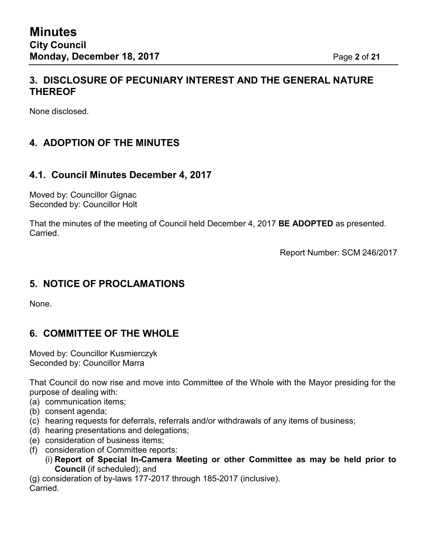## **3. DISCLOSURE OF PECUNIARY INTEREST AND THE GENERAL NATURE THEREOF**

None disclosed.

# **4. ADOPTION OF THE MINUTES**

#### **4.1. Council Minutes December 4, 2017**

Moved by: Councillor Gignac Seconded by: Councillor Holt

That the minutes of the meeting of Council held December 4, 2017 **BE ADOPTED** as presented. Carried.

Report Number: SCM 246/2017

### **5. NOTICE OF PROCLAMATIONS**

None.

### **6. COMMITTEE OF THE WHOLE**

Moved by: Councillor Kusmierczyk Seconded by: Councillor Marra

That Council do now rise and move into Committee of the Whole with the Mayor presiding for the purpose of dealing with:

- (a) communication items;
- (b) consent agenda;
- (c) hearing requests for deferrals, referrals and/or withdrawals of any items of business;
- (d) hearing presentations and delegations;
- (e) consideration of business items;
- (f) consideration of Committee reports:
	- (i) **Report of Special In-Camera Meeting or other Committee as may be held prior to Council** (if scheduled); and

(g) consideration of by-laws 177-2017 through 185-2017 (inclusive). Carried.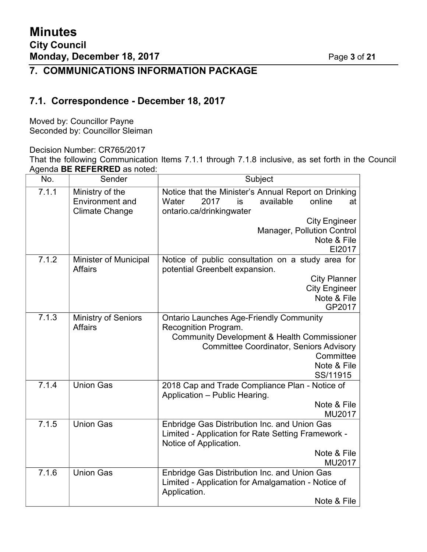# **7. COMMUNICATIONS INFORMATION PACKAGE**

## **7.1. Correspondence - December 18, 2017**

Moved by: Councillor Payne Seconded by: Councillor Sleiman

Decision Number: CR765/2017

That the following Communication Items 7.1.1 through 7.1.8 inclusive, as set forth in the Council Agenda **BE REFERRED** as noted:

| No.   | Sender                                                             | Subject                                                                                                                                                                                                                    |  |
|-------|--------------------------------------------------------------------|----------------------------------------------------------------------------------------------------------------------------------------------------------------------------------------------------------------------------|--|
| 7.1.1 | Ministry of the<br><b>Environment and</b><br><b>Climate Change</b> | Notice that the Minister's Annual Report on Drinking<br>available<br>2017<br>online<br>Water<br>is<br>at<br>ontario.ca/drinkingwater<br><b>City Engineer</b><br>Manager, Pollution Control<br>Note & File<br>EI2017        |  |
| 7.1.2 | <b>Minister of Municipal</b><br><b>Affairs</b>                     | Notice of public consultation on a study area for<br>potential Greenbelt expansion.<br><b>City Planner</b><br><b>City Engineer</b><br>Note & File<br>GP2017                                                                |  |
| 7.1.3 | <b>Ministry of Seniors</b><br><b>Affairs</b>                       | <b>Ontario Launches Age-Friendly Community</b><br>Recognition Program.<br><b>Community Development &amp; Health Commissioner</b><br><b>Committee Coordinator, Seniors Advisory</b><br>Committee<br>Note & File<br>SS/11915 |  |
| 7.1.4 | <b>Union Gas</b>                                                   | 2018 Cap and Trade Compliance Plan - Notice of<br>Application - Public Hearing.<br>Note & File<br>MU2017                                                                                                                   |  |
| 7.1.5 | <b>Union Gas</b>                                                   | Enbridge Gas Distribution Inc. and Union Gas<br>Limited - Application for Rate Setting Framework -<br>Notice of Application.<br>Note & File<br>MU2017                                                                      |  |
| 7.1.6 | <b>Union Gas</b>                                                   | Enbridge Gas Distribution Inc. and Union Gas<br>Limited - Application for Amalgamation - Notice of<br>Application.<br>Note & File                                                                                          |  |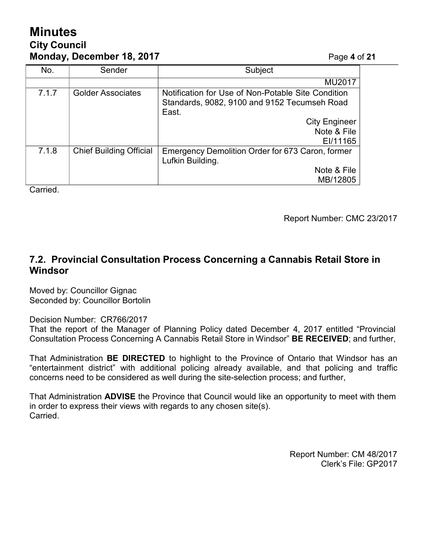# **Minutes City Council Monday, December 18, 2017** Page **4** of **21**

| No.   | Sender                         | Subject                                                                                                                             |
|-------|--------------------------------|-------------------------------------------------------------------------------------------------------------------------------------|
|       |                                | <b>MU2017</b>                                                                                                                       |
| 7.1.7 | <b>Golder Associates</b>       | Notification for Use of Non-Potable Site Condition<br>Standards, 9082, 9100 and 9152 Tecumseh Road<br>East.<br><b>City Engineer</b> |
|       |                                | Note & File<br>EI/11165                                                                                                             |
| 7.1.8 | <b>Chief Building Official</b> | Emergency Demolition Order for 673 Caron, former<br>Lufkin Building.                                                                |
|       |                                | Note & File<br>MB/12805                                                                                                             |
|       |                                |                                                                                                                                     |

Carried.

Report Number: CMC 23/2017

## **7.2. Provincial Consultation Process Concerning a Cannabis Retail Store in Windsor**

Moved by: Councillor Gignac Seconded by: Councillor Bortolin

Decision Number: CR766/2017

That the report of the Manager of Planning Policy dated December 4, 2017 entitled "Provincial Consultation Process Concerning A Cannabis Retail Store in Windsor" **BE RECEIVED**; and further,

That Administration **BE DIRECTED** to highlight to the Province of Ontario that Windsor has an "entertainment district" with additional policing already available, and that policing and traffic concerns need to be considered as well during the site-selection process; and further,

That Administration **ADVISE** the Province that Council would like an opportunity to meet with them in order to express their views with regards to any chosen site(s). Carried.

> Report Number: CM 48/2017 Clerk's File: GP2017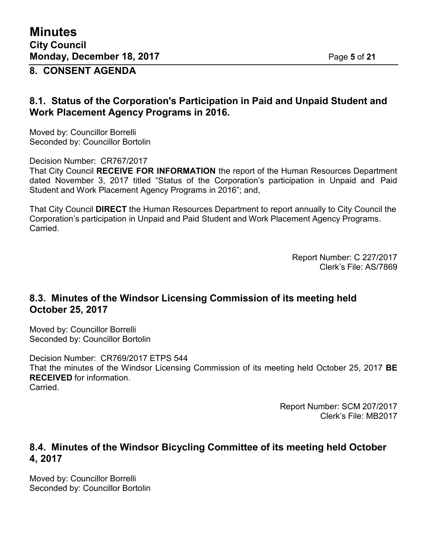**Minutes City Council Monday, December 18, 2017** Page **5** of **21**

**8. CONSENT AGENDA**

#### **8.1. Status of the Corporation's Participation in Paid and Unpaid Student and Work Placement Agency Programs in 2016.**

Moved by: Councillor Borrelli Seconded by: Councillor Bortolin

Decision Number: CR767/2017 That City Council **RECEIVE FOR INFORMATION** the report of the Human Resources Department dated November 3, 2017 titled "Status of the Corporation's participation in Unpaid and Paid Student and Work Placement Agency Programs in 2016"; and,

That City Council **DIRECT** the Human Resources Department to report annually to City Council the Corporation's participation in Unpaid and Paid Student and Work Placement Agency Programs. Carried.

> Report Number: C 227/2017 Clerk's File: AS/7869

## **8.3. Minutes of the Windsor Licensing Commission of its meeting held October 25, 2017**

Moved by: Councillor Borrelli Seconded by: Councillor Bortolin

Decision Number: CR769/2017 ETPS 544 That the minutes of the Windsor Licensing Commission of its meeting held October 25, 2017 **BE RECEIVED** for information. **Carried** 

> Report Number: SCM 207/2017 Clerk's File: MB2017

## **8.4. Minutes of the Windsor Bicycling Committee of its meeting held October 4, 2017**

Moved by: Councillor Borrelli Seconded by: Councillor Bortolin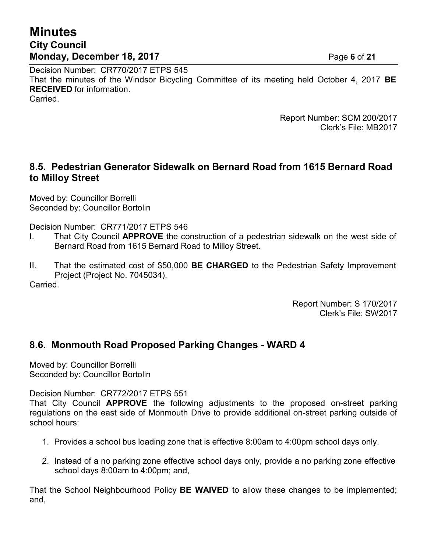# **Minutes City Council Monday, December 18, 2017** Page **6** of **21**

Decision Number: CR770/2017 ETPS 545 That the minutes of the Windsor Bicycling Committee of its meeting held October 4, 2017 **BE RECEIVED** for information. Carried.

> Report Number: SCM 200/2017 Clerk's File: MB2017

## **8.5. Pedestrian Generator Sidewalk on Bernard Road from 1615 Bernard Road to Milloy Street**

Moved by: Councillor Borrelli Seconded by: Councillor Bortolin

Decision Number: CR771/2017 ETPS 546

- I. That City Council **APPROVE** the construction of a pedestrian sidewalk on the west side of Bernard Road from 1615 Bernard Road to Milloy Street.
- II. That the estimated cost of \$50,000 **BE CHARGED** to the Pedestrian Safety Improvement Project (Project No. 7045034).

Carried.

Report Number: S 170/2017 Clerk's File: SW2017

## **8.6. Monmouth Road Proposed Parking Changes - WARD 4**

Moved by: Councillor Borrelli Seconded by: Councillor Bortolin

Decision Number: CR772/2017 ETPS 551

That City Council **APPROVE** the following adjustments to the proposed on-street parking regulations on the east side of Monmouth Drive to provide additional on-street parking outside of school hours:

- 1. Provides a school bus loading zone that is effective 8:00am to 4:00pm school days only.
- 2. Instead of a no parking zone effective school days only, provide a no parking zone effective school days 8:00am to 4:00pm; and,

That the School Neighbourhood Policy **BE WAIVED** to allow these changes to be implemented; and,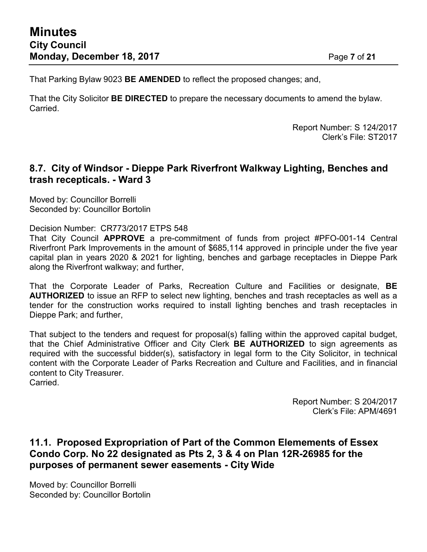That Parking Bylaw 9023 **BE AMENDED** to reflect the proposed changes; and,

That the City Solicitor **BE DIRECTED** to prepare the necessary documents to amend the bylaw. Carried.

> Report Number: S 124/2017 Clerk's File: ST2017

#### **8.7. City of Windsor - Dieppe Park Riverfront Walkway Lighting, Benches and trash recepticals. - Ward 3**

Moved by: Councillor Borrelli Seconded by: Councillor Bortolin

Decision Number: CR773/2017 ETPS 548

That City Council **APPROVE** a pre-commitment of funds from project #PFO-001-14 Central Riverfront Park Improvements in the amount of \$685,114 approved in principle under the five year capital plan in years 2020 & 2021 for lighting, benches and garbage receptacles in Dieppe Park along the Riverfront walkway; and further,

That the Corporate Leader of Parks, Recreation Culture and Facilities or designate, **BE AUTHORIZED** to issue an RFP to select new lighting, benches and trash receptacles as well as a tender for the construction works required to install lighting benches and trash receptacles in Dieppe Park; and further,

That subject to the tenders and request for proposal(s) falling within the approved capital budget, that the Chief Administrative Officer and City Clerk **BE AUTHORIZED** to sign agreements as required with the successful bidder(s), satisfactory in legal form to the City Solicitor, in technical content with the Corporate Leader of Parks Recreation and Culture and Facilities, and in financial content to City Treasurer.

Carried.

Report Number: S 204/2017 Clerk's File: APM/4691

### **11.1. Proposed Expropriation of Part of the Common Elemements of Essex Condo Corp. No 22 designated as Pts 2, 3 & 4 on Plan 12R-26985 for the purposes of permanent sewer easements - City Wide**

Moved by: Councillor Borrelli Seconded by: Councillor Bortolin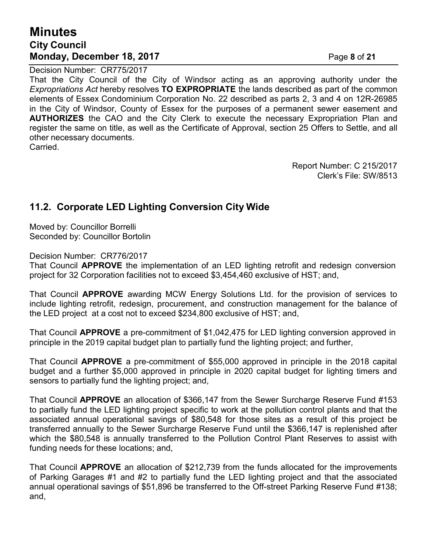## **Minutes City Council Monday, December 18, 2017** Page **8** of **21**

Decision Number: CR775/2017

That the City Council of the City of Windsor acting as an approving authority under the *Expropriations Act* hereby resolves **TO EXPROPRIATE** the lands described as part of the common elements of Essex Condominium Corporation No. 22 described as parts 2, 3 and 4 on 12R-26985 in the City of Windsor, County of Essex for the purposes of a permanent sewer easement and **AUTHORIZES** the CAO and the City Clerk to execute the necessary Expropriation Plan and register the same on title, as well as the Certificate of Approval, section 25 Offers to Settle, and all other necessary documents.

Carried.

Report Number: C 215/2017 Clerk's File: SW/8513

## **11.2. Corporate LED Lighting Conversion City Wide**

Moved by: Councillor Borrelli Seconded by: Councillor Bortolin

Decision Number: CR776/2017

That Council **APPROVE** the implementation of an LED lighting retrofit and redesign conversion project for 32 Corporation facilities not to exceed \$3,454,460 exclusive of HST; and,

That Council **APPROVE** awarding MCW Energy Solutions Ltd. for the provision of services to include lighting retrofit, redesign, procurement, and construction management for the balance of the LED project at a cost not to exceed \$234,800 exclusive of HST; and,

That Council **APPROVE** a pre-commitment of \$1,042,475 for LED lighting conversion approved in principle in the 2019 capital budget plan to partially fund the lighting project; and further,

That Council **APPROVE** a pre-commitment of \$55,000 approved in principle in the 2018 capital budget and a further \$5,000 approved in principle in 2020 capital budget for lighting timers and sensors to partially fund the lighting project; and,

That Council **APPROVE** an allocation of \$366,147 from the Sewer Surcharge Reserve Fund #153 to partially fund the LED lighting project specific to work at the pollution control plants and that the associated annual operational savings of \$80,548 for those sites as a result of this project be transferred annually to the Sewer Surcharge Reserve Fund until the \$366,147 is replenished after which the \$80,548 is annually transferred to the Pollution Control Plant Reserves to assist with funding needs for these locations; and,

That Council **APPROVE** an allocation of \$212,739 from the funds allocated for the improvements of Parking Garages #1 and #2 to partially fund the LED lighting project and that the associated annual operational savings of \$51,896 be transferred to the Off-street Parking Reserve Fund #138; and,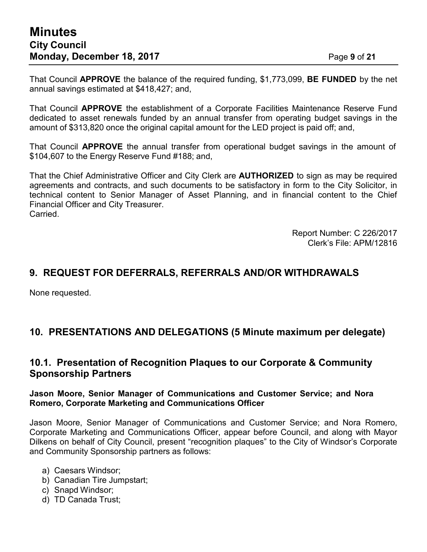That Council **APPROVE** the balance of the required funding, \$1,773,099, **BE FUNDED** by the net annual savings estimated at \$418,427; and,

That Council **APPROVE** the establishment of a Corporate Facilities Maintenance Reserve Fund dedicated to asset renewals funded by an annual transfer from operating budget savings in the amount of \$313,820 once the original capital amount for the LED project is paid off; and,

That Council **APPROVE** the annual transfer from operational budget savings in the amount of \$104,607 to the Energy Reserve Fund #188; and,

That the Chief Administrative Officer and City Clerk are **AUTHORIZED** to sign as may be required agreements and contracts, and such documents to be satisfactory in form to the City Solicitor, in technical content to Senior Manager of Asset Planning, and in financial content to the Chief Financial Officer and City Treasurer. Carried.

> Report Number: C 226/2017 Clerk's File: APM/12816

## **9. REQUEST FOR DEFERRALS, REFERRALS AND/OR WITHDRAWALS**

None requested.

### **10. PRESENTATIONS AND DELEGATIONS (5 Minute maximum per delegate)**

#### **10.1. Presentation of Recognition Plaques to our Corporate & Community Sponsorship Partners**

#### **Jason Moore, Senior Manager of Communications and Customer Service; and Nora Romero, Corporate Marketing and Communications Officer**

Jason Moore, Senior Manager of Communications and Customer Service; and Nora Romero, Corporate Marketing and Communications Officer, appear before Council, and along with Mayor Dilkens on behalf of City Council, present "recognition plaques" to the City of Windsor's Corporate and Community Sponsorship partners as follows:

- a) Caesars Windsor;
- b) Canadian Tire Jumpstart;
- c) Snapd Windsor;
- d) TD Canada Trust;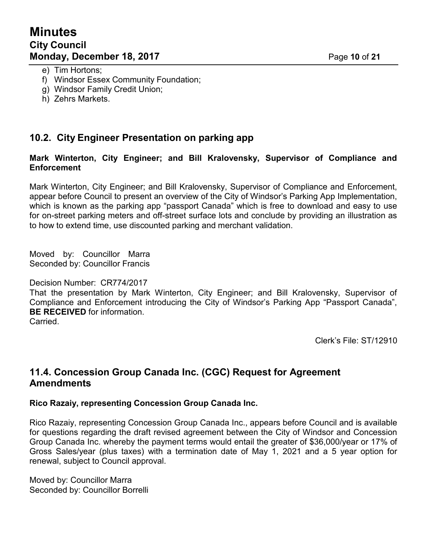- e) Tim Hortons;
- f) Windsor Essex Community Foundation;
- g) Windsor Family Credit Union;
- h) Zehrs Markets.

## **10.2. City Engineer Presentation on parking app**

#### **Mark Winterton, City Engineer; and Bill Kralovensky, Supervisor of Compliance and Enforcement**

Mark Winterton, City Engineer; and Bill Kralovensky, Supervisor of Compliance and Enforcement, appear before Council to present an overview of the City of Windsor's Parking App Implementation, which is known as the parking app "passport Canada" which is free to download and easy to use for on-street parking meters and off-street surface lots and conclude by providing an illustration as to how to extend time, use discounted parking and merchant validation.

Moved by: Councillor Marra Seconded by: Councillor Francis

#### Decision Number: CR774/2017

That the presentation by Mark Winterton, City Engineer; and Bill Kralovensky, Supervisor of Compliance and Enforcement introducing the City of Windsor's Parking App "Passport Canada", **BE RECEIVED** for information.

Carried.

Clerk's File: ST/12910

### **11.4. Concession Group Canada Inc. (CGC) Request for Agreement Amendments**

#### **Rico Razaiy, representing Concession Group Canada Inc.**

Rico Razaiy, representing Concession Group Canada Inc., appears before Council and is available for questions regarding the draft revised agreement between the City of Windsor and Concession Group Canada Inc. whereby the payment terms would entail the greater of \$36,000/year or 17% of Gross Sales/year (plus taxes) with a termination date of May 1, 2021 and a 5 year option for renewal, subject to Council approval.

Moved by: Councillor Marra Seconded by: Councillor Borrelli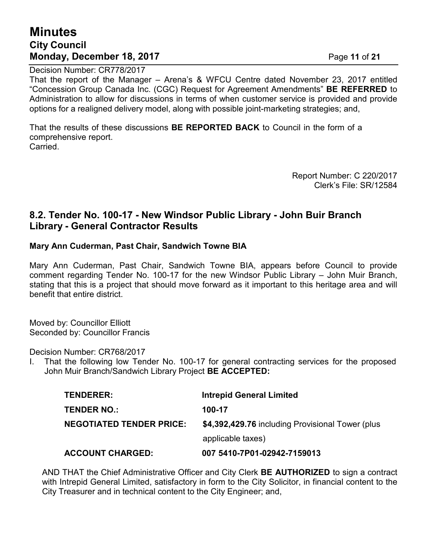# **Minutes City Council Monday, December 18, 2017 Page 11 of 21**

Decision Number: CR778/2017

That the report of the Manager – Arena's & WFCU Centre dated November 23, 2017 entitled "Concession Group Canada Inc. (CGC) Request for Agreement Amendments" **BE REFERRED** to Administration to allow for discussions in terms of when customer service is provided and provide options for a realigned delivery model, along with possible joint-marketing strategies; and,

That the results of these discussions **BE REPORTED BACK** to Council in the form of a comprehensive report. Carried.

> Report Number: C 220/2017 Clerk's File: SR/12584

#### **8.2. Tender No. 100-17 - New Windsor Public Library - John Buir Branch Library - General Contractor Results**

#### **Mary Ann Cuderman, Past Chair, Sandwich Towne BIA**

Mary Ann Cuderman, Past Chair, Sandwich Towne BIA, appears before Council to provide comment regarding Tender No. 100-17 for the new Windsor Public Library – John Muir Branch, stating that this is a project that should move forward as it important to this heritage area and will benefit that entire district.

Moved by: Councillor Elliott Seconded by: Councillor Francis

Decision Number: CR768/2017

I. That the following low Tender No. 100-17 for general contracting services for the proposed John Muir Branch/Sandwich Library Project **BE ACCEPTED:**

| <b>ACCOUNT CHARGED:</b>         | 007 5410-7P01-02942-7159013                      |
|---------------------------------|--------------------------------------------------|
|                                 | applicable taxes)                                |
| <b>NEGOTIATED TENDER PRICE:</b> | \$4,392,429.76 including Provisional Tower (plus |
| <b>TENDER NO.:</b>              | 100-17                                           |
| <b>TENDERER:</b>                | <b>Intrepid General Limited</b>                  |

AND THAT the Chief Administrative Officer and City Clerk **BE AUTHORIZED** to sign a contract with Intrepid General Limited, satisfactory in form to the City Solicitor, in financial content to the City Treasurer and in technical content to the City Engineer; and,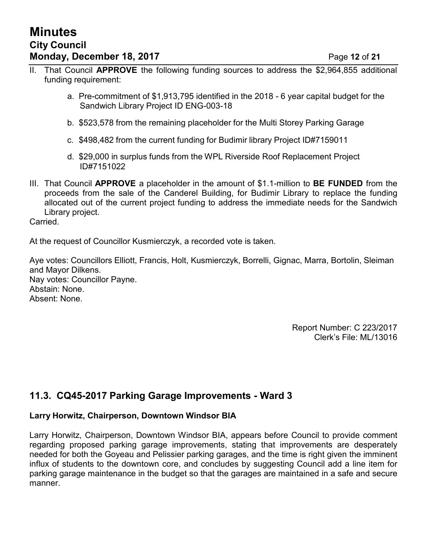- II. That Council **APPROVE** the following funding sources to address the \$2,964,855 additional funding requirement:
	- a. Pre-commitment of \$1,913,795 identified in the 2018 6 year capital budget for the Sandwich Library Project ID ENG-003-18
	- b. \$523,578 from the remaining placeholder for the Multi Storey Parking Garage
	- c. \$498,482 from the current funding for Budimir library Project ID#7159011
	- d. \$29,000 in surplus funds from the WPL Riverside Roof Replacement Project ID#7151022
- III. That Council **APPROVE** a placeholder in the amount of \$1.1-million to **BE FUNDED** from the proceeds from the sale of the Canderel Building, for Budimir Library to replace the funding allocated out of the current project funding to address the immediate needs for the Sandwich Library project.

Carried.

At the request of Councillor Kusmierczyk, a recorded vote is taken.

Aye votes: Councillors Elliott, Francis, Holt, Kusmierczyk, Borrelli, Gignac, Marra, Bortolin, Sleiman and Mayor Dilkens. Nay votes: Councillor Payne. Abstain: None. Absent: None.

> Report Number: C 223/2017 Clerk's File: ML/13016

## **11.3. CQ45-2017 Parking Garage Improvements - Ward 3**

#### **Larry Horwitz, Chairperson, Downtown Windsor BIA**

Larry Horwitz, Chairperson, Downtown Windsor BIA, appears before Council to provide comment regarding proposed parking garage improvements, stating that improvements are desperately needed for both the Goyeau and Pelissier parking garages, and the time is right given the imminent influx of students to the downtown core, and concludes by suggesting Council add a line item for parking garage maintenance in the budget so that the garages are maintained in a safe and secure manner.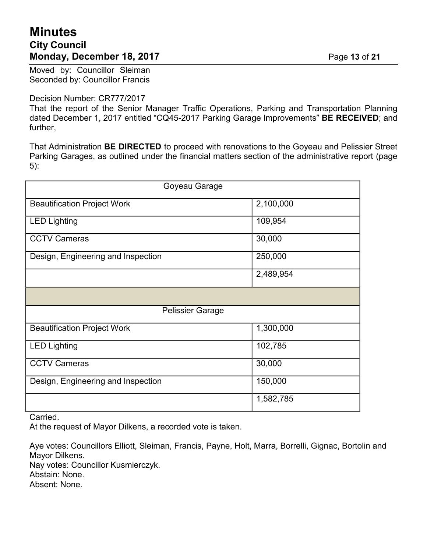# **Minutes City Council Monday, December 18, 2017 Page 13 of 21**

Moved by: Councillor Sleiman Seconded by: Councillor Francis

#### Decision Number: CR777/2017

That the report of the Senior Manager Traffic Operations, Parking and Transportation Planning dated December 1, 2017 entitled "CQ45-2017 Parking Garage Improvements" **BE RECEIVED**; and further,

That Administration **BE DIRECTED** to proceed with renovations to the Goyeau and Pelissier Street Parking Garages, as outlined under the financial matters section of the administrative report (page 5):

| Goyeau Garage                      |           |  |  |  |
|------------------------------------|-----------|--|--|--|
| <b>Beautification Project Work</b> | 2,100,000 |  |  |  |
| <b>LED Lighting</b>                | 109,954   |  |  |  |
| <b>CCTV Cameras</b>                | 30,000    |  |  |  |
| Design, Engineering and Inspection | 250,000   |  |  |  |
|                                    | 2,489,954 |  |  |  |
|                                    |           |  |  |  |
| <b>Pelissier Garage</b>            |           |  |  |  |
| <b>Beautification Project Work</b> | 1,300,000 |  |  |  |
| <b>LED Lighting</b>                | 102,785   |  |  |  |
| <b>CCTV Cameras</b>                | 30,000    |  |  |  |
| Design, Engineering and Inspection | 150,000   |  |  |  |
|                                    | 1,582,785 |  |  |  |

Carried.

At the request of Mayor Dilkens, a recorded vote is taken.

Aye votes: Councillors Elliott, Sleiman, Francis, Payne, Holt, Marra, Borrelli, Gignac, Bortolin and Mayor Dilkens. Nay votes: Councillor Kusmierczyk. Abstain: None.

Absent: None.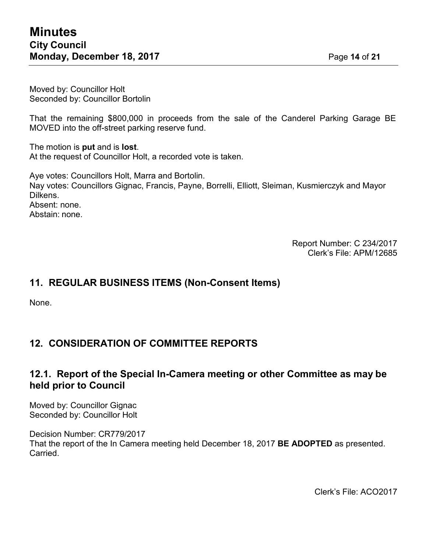Moved by: Councillor Holt Seconded by: Councillor Bortolin

That the remaining \$800,000 in proceeds from the sale of the Canderel Parking Garage BE MOVED into the off-street parking reserve fund.

The motion is **put** and is **lost**. At the request of Councillor Holt, a recorded vote is taken.

Aye votes: Councillors Holt, Marra and Bortolin. Nay votes: Councillors Gignac, Francis, Payne, Borrelli, Elliott, Sleiman, Kusmierczyk and Mayor Dilkens. Absent: none. Abstain: none.

> Report Number: C 234/2017 Clerk's File: APM/12685

### **11. REGULAR BUSINESS ITEMS (Non-Consent Items)**

None.

## **12. CONSIDERATION OF COMMITTEE REPORTS**

#### **12.1. Report of the Special In-Camera meeting or other Committee as may be held prior to Council**

Moved by: Councillor Gignac Seconded by: Councillor Holt

Decision Number: CR779/2017 That the report of the In Camera meeting held December 18, 2017 **BE ADOPTED** as presented. Carried.

Clerk's File: ACO2017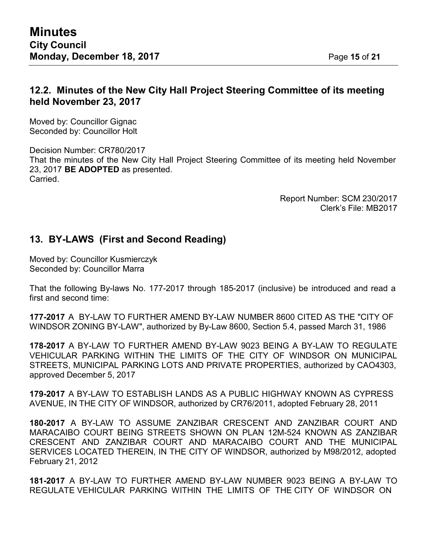## **12.2. Minutes of the New City Hall Project Steering Committee of its meeting held November 23, 2017**

Moved by: Councillor Gignac Seconded by: Councillor Holt

Decision Number: CR780/2017 That the minutes of the New City Hall Project Steering Committee of its meeting held November 23, 2017 **BE ADOPTED** as presented. **Carried** 

> Report Number: SCM 230/2017 Clerk's File: MB2017

## **13. BY-LAWS (First and Second Reading)**

Moved by: Councillor Kusmierczyk Seconded by: Councillor Marra

That the following By-laws No. 177-2017 through 185-2017 (inclusive) be introduced and read a first and second time:

**177-2017** A BY-LAW TO FURTHER AMEND BY-LAW NUMBER 8600 CITED AS THE "CITY OF WINDSOR ZONING BY-LAW", authorized by By-Law 8600, Section 5.4, passed March 31, 1986

**178-2017** A BY-LAW TO FURTHER AMEND BY-LAW 9023 BEING A BY-LAW TO REGULATE VEHICULAR PARKING WITHIN THE LIMITS OF THE CITY OF WINDSOR ON MUNICIPAL STREETS, MUNICIPAL PARKING LOTS AND PRIVATE PROPERTIES, authorized by CAO4303, approved December 5, 2017

**179-2017** A BY-LAW TO ESTABLISH LANDS AS A PUBLIC HIGHWAY KNOWN AS CYPRESS AVENUE, IN THE CITY OF WINDSOR, authorized by CR76/2011, adopted February 28, 2011

**180-2017** A BY-LAW TO ASSUME ZANZIBAR CRESCENT AND ZANZIBAR COURT AND MARACAIBO COURT BEING STREETS SHOWN ON PLAN 12M-524 KNOWN AS ZANZIBAR CRESCENT AND ZANZIBAR COURT AND MARACAIBO COURT AND THE MUNICIPAL SERVICES LOCATED THEREIN, IN THE CITY OF WINDSOR, authorized by M98/2012, adopted February 21, 2012

**181-2017** A BY-LAW TO FURTHER AMEND BY-LAW NUMBER 9023 BEING A BY-LAW TO REGULATE VEHICULAR PARKING WITHIN THE LIMITS OF THE CITY OF WINDSOR ON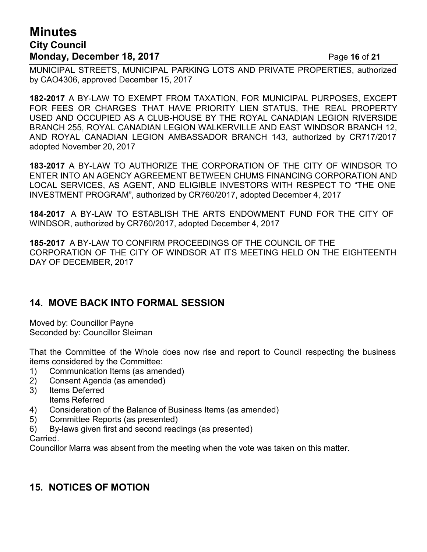# **Minutes City Council Monday, December 18, 2017** Page 16 of 21

MUNICIPAL STREETS, MUNICIPAL PARKING LOTS AND PRIVATE PROPERTIES, authorized by CAO4306, approved December 15, 2017

**182-2017** A BY-LAW TO EXEMPT FROM TAXATION, FOR MUNICIPAL PURPOSES, EXCEPT FOR FEES OR CHARGES THAT HAVE PRIORITY LIEN STATUS, THE REAL PROPERTY USED AND OCCUPIED AS A CLUB-HOUSE BY THE ROYAL CANADIAN LEGION RIVERSIDE BRANCH 255, ROYAL CANADIAN LEGION WALKERVILLE AND EAST WINDSOR BRANCH 12, AND ROYAL CANADIAN LEGION AMBASSADOR BRANCH 143, authorized by CR717/2017 adopted November 20, 2017

**183-2017** A BY-LAW TO AUTHORIZE THE CORPORATION OF THE CITY OF WINDSOR TO ENTER INTO AN AGENCY AGREEMENT BETWEEN CHUMS FINANCING CORPORATION AND LOCAL SERVICES, AS AGENT, AND ELIGIBLE INVESTORS WITH RESPECT TO "THE ONE INVESTMENT PROGRAM", authorized by CR760/2017, adopted December 4, 2017

**184-2017** A BY-LAW TO ESTABLISH THE ARTS ENDOWMENT FUND FOR THE CITY OF WINDSOR, authorized by CR760/2017, adopted December 4, 2017

**185-2017** A BY-LAW TO CONFIRM PROCEEDINGS OF THE COUNCIL OF THE CORPORATION OF THE CITY OF WINDSOR AT ITS MEETING HELD ON THE EIGHTEENTH DAY OF DECEMBER, 2017

### **14. MOVE BACK INTO FORMAL SESSION**

Moved by: Councillor Payne Seconded by: Councillor Sleiman

That the Committee of the Whole does now rise and report to Council respecting the business items considered by the Committee:

- 1) Communication Items (as amended)
- 2) Consent Agenda (as amended)
- 3) Items Deferred Items Referred
- 4) Consideration of the Balance of Business Items (as amended)
- 5) Committee Reports (as presented)
- 6) By-laws given first and second readings (as presented)

Carried.

Councillor Marra was absent from the meeting when the vote was taken on this matter.

## **15. NOTICES OF MOTION**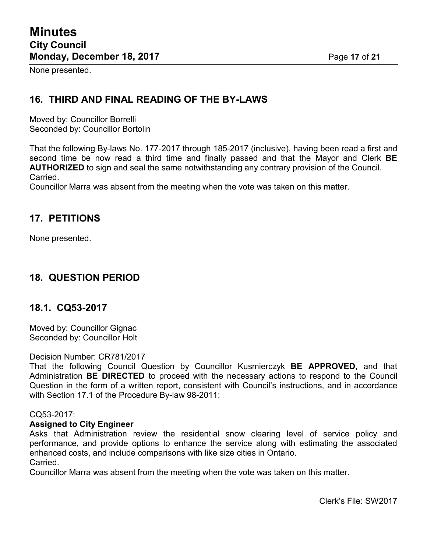None presented.

### **16. THIRD AND FINAL READING OF THE BY-LAWS**

Moved by: Councillor Borrelli Seconded by: Councillor Bortolin

That the following By-laws No. 177-2017 through 185-2017 (inclusive), having been read a first and second time be now read a third time and finally passed and that the Mayor and Clerk **BE AUTHORIZED** to sign and seal the same notwithstanding any contrary provision of the Council. Carried.

Councillor Marra was absent from the meeting when the vote was taken on this matter.

#### **17. PETITIONS**

None presented.

### **18. QUESTION PERIOD**

#### **18.1. CQ53-2017**

Moved by: Councillor Gignac Seconded by: Councillor Holt

#### Decision Number: CR781/2017

That the following Council Question by Councillor Kusmierczyk **BE APPROVED,** and that Administration **BE DIRECTED** to proceed with the necessary actions to respond to the Council Question in the form of a written report, consistent with Council's instructions, and in accordance with Section 17.1 of the Procedure By-law 98-2011:

#### CQ53-2017:

#### **Assigned to City Engineer**

Asks that Administration review the residential snow clearing level of service policy and performance, and provide options to enhance the service along with estimating the associated enhanced costs, and include comparisons with like size cities in Ontario.

Carried.

Councillor Marra was absent from the meeting when the vote was taken on this matter.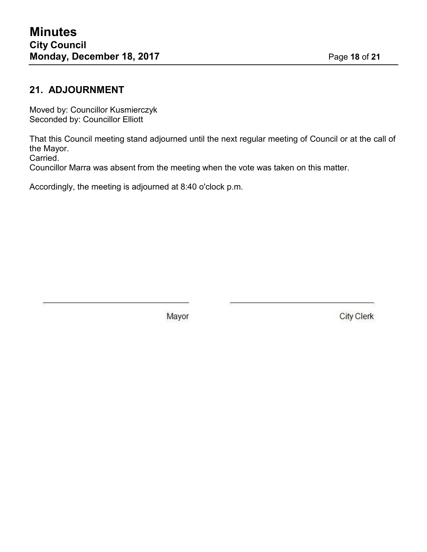# **21. ADJOURNMENT**

Moved by: Councillor Kusmierczyk Seconded by: Councillor Elliott

That this Council meeting stand adjourned until the next regular meeting of Council or at the call of the Mayor.

Carried.

Councillor Marra was absent from the meeting when the vote was taken on this matter.

Accordingly, the meeting is adjourned at 8:40 o'clock p.m.

Mayor

**City Clerk**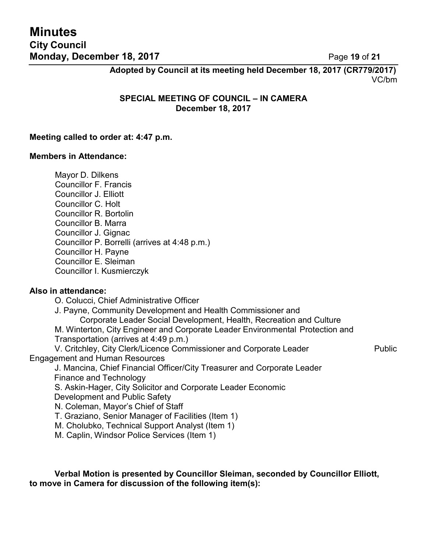**Minutes City Council Monday, December 18, 2017** Page 19 of 21

**Adopted by Council at its meeting held December 18, 2017 (CR779/2017)** VC/bm

**SPECIAL MEETING OF COUNCIL – IN CAMERA December 18, 2017**

#### **Meeting called to order at: 4:47 p.m.**

#### **Members in Attendance:**

Mayor D. Dilkens Councillor F. Francis Councillor J. Elliott Councillor C. Holt Councillor R. Bortolin Councillor B. Marra Councillor J. Gignac Councillor P. Borrelli (arrives at 4:48 p.m.) Councillor H. Payne Councillor E. Sleiman Councillor I. Kusmierczyk

#### **Also in attendance:**

O. Colucci, Chief Administrative Officer

J. Payne, Community Development and Health Commissioner and

Corporate Leader Social Development, Health, Recreation and Culture M. Winterton, City Engineer and Corporate Leader Environmental Protection and Transportation (arrives at 4:49 p.m.)

V. Critchley, City Clerk/Licence Commissioner and Corporate Leader Public Engagement and Human Resources

J. Mancina, Chief Financial Officer/City Treasurer and Corporate Leader Finance and Technology

S. Askin-Hager, City Solicitor and Corporate Leader Economic Development and Public Safety

N. Coleman, Mayor's Chief of Staff

T. Graziano, Senior Manager of Facilities (Item 1)

M. Cholubko, Technical Support Analyst (Item 1)

M. Caplin, Windsor Police Services (Item 1)

**Verbal Motion is presented by Councillor Sleiman, seconded by Councillor Elliott, to move in Camera for discussion of the following item(s):**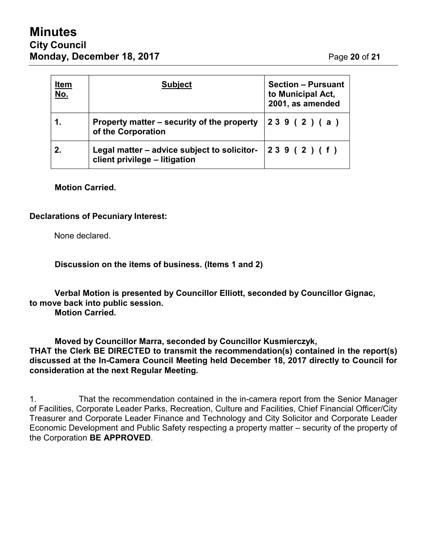# **Minutes City Council Monday, December 18, 2017 Page 20 of 21**

| <u>Item</u><br><u>No.</u> | <b>Subject</b>                                                                              | <b>Section - Pursuant</b><br>to Municipal Act,<br>2001, as amended |  |
|---------------------------|---------------------------------------------------------------------------------------------|--------------------------------------------------------------------|--|
| 1.                        | Property matter – security of the property<br>of the Corporation                            | 239(2)(a)                                                          |  |
| 2.                        | Legal matter – advice subject to solicitor- $ 239 (2) (f)$<br>client privilege - litigation |                                                                    |  |

#### **Motion Carried.**

#### **Declarations of Pecuniary Interest:**

None declared.

**Discussion on the items of business. (Items 1 and 2)**

**Verbal Motion is presented by Councillor Elliott, seconded by Councillor Gignac, to move back into public session.**

**Motion Carried.**

**Moved by Councillor Marra, seconded by Councillor Kusmierczyk, THAT the Clerk BE DIRECTED to transmit the recommendation(s) contained in the report(s) discussed at the In-Camera Council Meeting held December 18, 2017 directly to Council for consideration at the next Regular Meeting.**

1. That the recommendation contained in the in-camera report from the Senior Manager of Facilities, Corporate Leader Parks, Recreation, Culture and Facilities, Chief Financial Officer/City Treasurer and Corporate Leader Finance and Technology and City Solicitor and Corporate Leader Economic Development and Public Safety respecting a property matter – security of the property of the Corporation **BE APPROVED**.